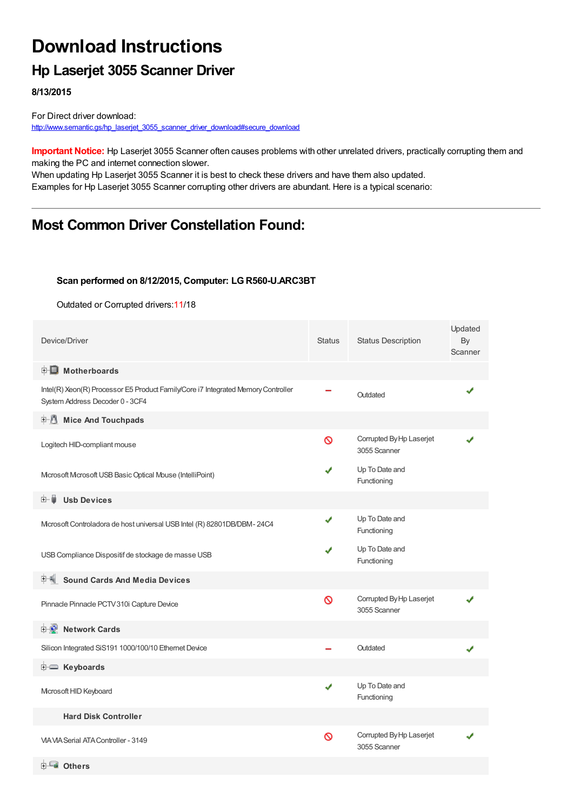## **Download Instructions**

### **Hp Laserjet 3055 Scanner Driver**

**8/13/2015**

For Direct driver download: [http://www.semantic.gs/hp\\_laserjet\\_3055\\_scanner\\_driver\\_download#secure\\_download](http://www.semantic.gs/hp_laserjet_3055_scanner_driver_download#secure_download)

**Important Notice:** Hp Laserjet 3055 Scanner often causes problems with other unrelated drivers, practically corrupting them and making the PC and internet connection slower.

When updating Hp Laserjet 3055 Scanner it is best to check these drivers and have them also updated. Examples for Hp Laserjet 3055 Scanner corrupting other drivers are abundant. Here is a typical scenario:

## **Most Common Driver Constellation Found:**

#### **Scan performed on 8/12/2015, Computer: LGR560-U.ARC3BT**

Outdated or Corrupted drivers:11/18

| Device/Driver                                                                                                        | <b>Status</b> | <b>Status Description</b>                | Updated<br>By<br>Scanner |
|----------------------------------------------------------------------------------------------------------------------|---------------|------------------------------------------|--------------------------|
| <b>E</b> Motherboards                                                                                                |               |                                          |                          |
| Intel(R) Xeon(R) Processor E5 Product Family/Core i7 Integrated Memory Controller<br>System Address Decoder 0 - 3CF4 |               | Outdated                                 |                          |
| <b>Mice And Touchpads</b>                                                                                            |               |                                          |                          |
| Logitech HID-compliant mouse                                                                                         | Ø             | Corrupted By Hp Laserjet<br>3055 Scanner |                          |
| Mcrosoft Mcrosoft USB Basic Optical Mouse (IntelliPoint)                                                             |               | Up To Date and<br>Functioning            |                          |
| <b>Usb Devices</b><br>田…自                                                                                            |               |                                          |                          |
| Mcrosoft Controladora de host universal USB Intel (R) 82801DB/DBM-24C4                                               | ✔             | Up To Date and<br>Functioning            |                          |
| USB Compliance Dispositif de stockage de masse USB                                                                   | J             | Up To Date and<br>Functioning            |                          |
| <b>Sound Cards And Media Devices</b>                                                                                 |               |                                          |                          |
| Pinnacle Pinnacle PCTV 310i Capture Device                                                                           | Ø             | Corrupted By Hp Laserjet<br>3055 Scanner |                          |
| <b>Network Cards</b><br><b>E</b>                                                                                     |               |                                          |                          |
| Silicon Integrated SiS191 1000/100/10 Ethernet Device                                                                |               | Outdated                                 |                          |
| ⊞ Keyboards                                                                                                          |               |                                          |                          |
| Microsoft HID Keyboard                                                                                               | ✔             | Up To Date and<br>Functioning            |                          |
| <b>Hard Disk Controller</b>                                                                                          |               |                                          |                          |
| <b>VIA VIA Serial ATA Controller - 3149</b>                                                                          | Ø             | Corrupted By Hp Laserjet<br>3055 Scanner |                          |
| $\sim$ $-$                                                                                                           |               |                                          |                          |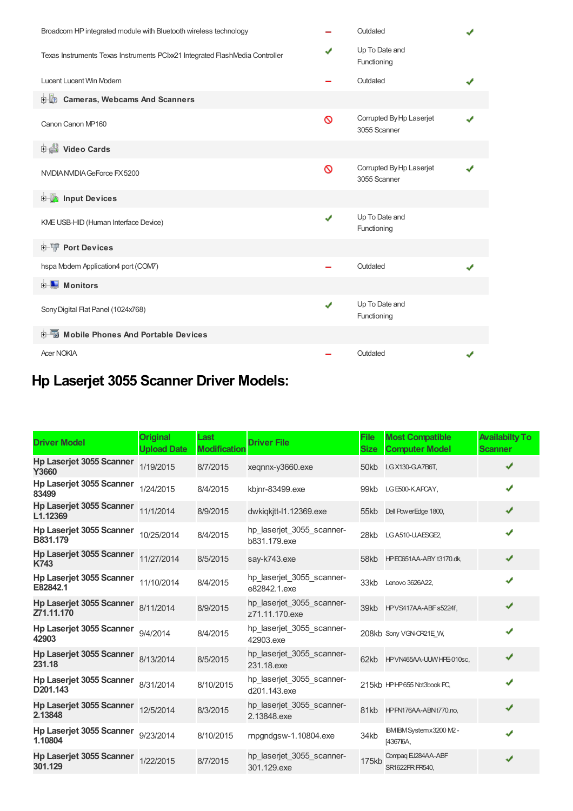| Broadcom HP integrated module with Bluetooth wireless technology             |   | Outdated                                 |  |
|------------------------------------------------------------------------------|---|------------------------------------------|--|
| Texas Instruments Texas Instruments PCIxx21 Integrated FlashMedia Controller | ✔ | Up To Date and<br>Functioning            |  |
| Lucent Lucent Win Modem                                                      |   | Outdated                                 |  |
| 中心 Cameras, Webcams And Scanners                                             |   |                                          |  |
| Canon Canon MP160                                                            | Ø | Corrupted By Hp Laserjet<br>3055 Scanner |  |
| Video Cards                                                                  |   |                                          |  |
| NVIDIA NVIDIA GeForce FX 5200                                                | Ø | Corrupted By Hp Laserjet<br>3055 Scanner |  |
| <b>E</b> Input Devices                                                       |   |                                          |  |
| KME USB-HID (Human Interface Device)                                         | ✔ | Up To Date and<br>Functioning            |  |
| <b>E-T</b> Port Devices                                                      |   |                                          |  |
| hspa Modem Application4 port (COM7)                                          |   | Outdated                                 |  |
| <b>E</b> Monitors                                                            |   |                                          |  |
| Sony Digital Flat Panel (1024x768)                                           | ✔ | Up To Date and<br>Functioning            |  |
|                                                                              |   |                                          |  |
| <b>Acer NOKIA</b>                                                            |   | Outdated                                 |  |

# **Hp Laserjet 3055 Scanner Driver Models:**

| <b>Driver Model</b>                           | <b>Original</b><br><b>Upload Date</b> | Last<br><b>Modification</b> | <b>Driver File</b>                          | <b>File</b><br><b>Size</b> | <b>Most Compatible</b><br><b>Computer Model</b> | <b>Availabilty To</b><br><b>Scanner</b> |
|-----------------------------------------------|---------------------------------------|-----------------------------|---------------------------------------------|----------------------------|-------------------------------------------------|-----------------------------------------|
| <b>Hp Laserjet 3055 Scanner</b><br>Y3660      | 1/19/2015                             | 8/7/2015                    | xegnnx-y3660.exe                            | 50kb                       | LG X130-G.A7B6T.                                | ✔                                       |
| <b>Hp Laserjet 3055 Scanner</b><br>83499      | 1/24/2015                             | 8/4/2015                    | kbjnr-83499.exe                             | 99kb                       | LGE500-KAPCAY,                                  | ✔                                       |
| <b>Hp Laserjet 3055 Scanner</b><br>L1.12369   | 11/1/2014                             | 8/9/2015                    | dwkigkitt-11.12369.exe                      | 55kb                       | Dell Pow erEdge 1800,                           | ✔                                       |
| Hp Laserjet 3055 Scanner<br>B831.179          | 10/25/2014                            | 8/4/2015                    | hp_laserjet_3055_scanner-<br>b831.179.exe   | 28kb                       | LG A510-U.AESGE2,                               | ✔                                       |
| <b>Hp Laserjet 3055 Scanner</b><br>K743       | 11/27/2014                            | 8/5/2015                    | say-k743.exe                                |                            | 58kb I-PE0651AA-ABY t3170.dk,                   | ✔                                       |
| Hp Laserjet 3055 Scanner<br>E82842.1          | 11/10/2014                            | 8/4/2015                    | hp_laserjet_3055_scanner-<br>e82842.1.exe   | 33kb                       | Lenovo 3626A22.                                 | ✔                                       |
| <b>Hp Laserjet 3055 Scanner</b><br>Z71.11.170 | 8/11/2014                             | 8/9/2015                    | hp laserjet 3055 scanner-<br>z71.11.170.exe |                            | 39kb HPVS417AA-ABFs5224f,                       | ✔                                       |
| Hp Laserjet 3055 Scanner<br>42903             | 9/4/2014                              | 8/4/2015                    | hp_laserjet_3055_scanner-<br>42903.exe      |                            | 208kb Sony VGN-CR21E W.                         | ✔                                       |
| <b>Hp Laserjet 3055 Scanner</b><br>231.18     | 8/13/2014                             | 8/5/2015                    | hp laserjet 3055 scanner-<br>231.18.exe     |                            | 62kb HPVN465AA-UUWHPE-010sc,                    | ✔                                       |
| Hp Laserjet 3055 Scanner<br>D201.143          | 8/31/2014                             | 8/10/2015                   | hp laserjet 3055 scanner-<br>d201.143.exe   |                            | 215kb HPHP655 Not3book PC,                      | ✔                                       |
| Hp Laserjet 3055 Scanner<br>2.13848           | 12/5/2014                             | 8/3/2015                    | hp laserjet 3055 scanner-<br>2.13848.exe    | 81kb                       | HPPN176AA-ABN1770.no,                           | ✔                                       |
| Hp Laserjet 3055 Scanner<br>1.10804           | 9/23/2014                             | 8/10/2015                   | rnpgndgsw-1.10804.exe                       | 34kb                       | IBM IBM System x3200 M2 -<br>[4367]6A,          | ✔                                       |
| <b>Hp Laserjet 3055 Scanner</b><br>301.129    | 1/22/2015                             | 8/7/2015                    | hp laserjet 3055 scanner-<br>301.129.exe    | 175kb                      | Compag EJ284AA-ABF<br>SR1622FR FR540.           | ✔                                       |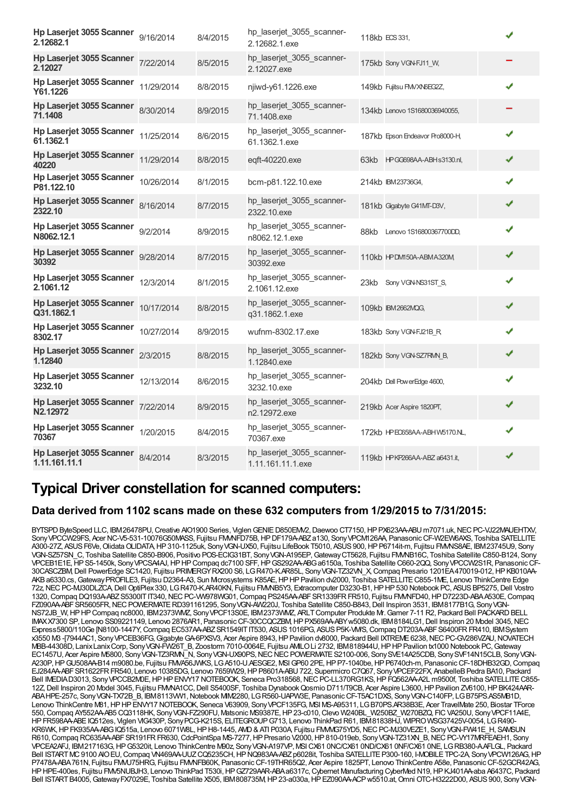| Hp Laserjet 3055 Scanner<br>2.12682.1     | 9/16/2014  | 8/4/2015 | hp_laserjet_3055_scanner-<br>2.12682.1.exe     | 118kb ECS 331,                  | ✔ |
|-------------------------------------------|------------|----------|------------------------------------------------|---------------------------------|---|
| Hp Laserjet 3055 Scanner<br>2.12027       | 7/22/2014  | 8/5/2015 | hp_laserjet_3055_scanner-<br>2.12027.exe       | 175kb Sony VGN-FJ11_W,          |   |
| Hp Laserjet 3055 Scanner<br>Y61.1226      | 11/29/2014 | 8/8/2015 | njiwd-y61.1226.exe                             | 149kb Fujitsu FMVXN6EG2Z,       | ✔ |
| Hp Laserjet 3055 Scanner<br>71.1408       | 8/30/2014  | 8/9/2015 | hp_laserjet_3055_scanner-<br>71.1408.exe       | 134kb Lenovo 1S1680036940055,   |   |
| Hp Laserjet 3055 Scanner<br>61.1362.1     | 11/25/2014 | 8/6/2015 | hp_laserjet_3055_scanner-<br>61.1362.1.exe     | 187kb Epson Endeavor Pro8000-H, | ✔ |
| Hp Laserjet 3055 Scanner<br>40220         | 11/29/2014 | 8/8/2015 | eqft-40220.exe                                 | HPGG698AA-ABHs3130.nl,<br>63kb  | ✔ |
| Hp Laserjet 3055 Scanner<br>P81.122.10    | 10/26/2014 | 8/1/2015 | bcm-p81.122.10.exe                             | 214kb IBM23736G4,               | J |
| Hp Laserjet 3055 Scanner<br>2322.10       | 8/16/2014  | 8/7/2015 | hp laserjet 3055 scanner-<br>2322.10.exe       | 181kb Gigabyte G41MT-D3V,       | ✔ |
| Hp Laserjet 3055 Scanner<br>N8062.12.1    | 9/2/2014   | 8/9/2015 | hp_laserjet_3055_scanner-<br>n8062.12.1.exe    | Lenovo 1S16800367700DD,<br>88kb | ✔ |
| Hp Laserjet 3055 Scanner<br>30392         | 9/28/2014  | 8/7/2015 | hp_laserjet_3055_scanner-<br>30392.exe         | 110kb HPDM150A-ABMA320M         | ✔ |
| Hp Laserjet 3055 Scanner<br>2.1061.12     | 12/3/2014  | 8/1/2015 | hp_laserjet_3055_scanner-<br>2.1061.12.exe     | 23kb Sony VGN-NS31ST S,         | ✔ |
| Hp Laserjet 3055 Scanner<br>Q31.1862.1    | 10/17/2014 | 8/8/2015 | hp_laserjet_3055_scanner-<br>q31.1862.1.exe    | 109kb IBM2662MQG,               | ✔ |
| Hp Laserjet 3055 Scanner<br>8302.17       | 10/27/2014 | 8/9/2015 | wufnm-8302.17.exe                              | 183kb Sony VGN-FJ21B_R,         | ✔ |
| Hp Laserjet 3055 Scanner<br>1.12840       | 2/3/2015   | 8/8/2015 | hp_laserjet_3055_scanner-<br>1.12840.exe       | 182kb Sony VGN-SZ7RM_B,         | ✔ |
| Hp Laserjet 3055 Scanner<br>3232.10       | 12/13/2014 | 8/6/2015 | hp_laserjet_3055_scanner-<br>3232.10.exe       | 204kb Dell PowerEdge 4600,      | ✔ |
| Hp Laserjet 3055 Scanner<br>N2.12972      | 7/22/2014  | 8/9/2015 | hp_laserjet_3055_scanner-<br>n2.12972.exe      | 219kb Acer Aspire 1820PT,       | ✔ |
| Hp Laserjet 3055 Scanner<br>70367         | 1/20/2015  | 8/4/2015 | hp_laserjet_3055_scanner-<br>70367.exe         | 172kb HPEO658AA-ABHW5170.NL,    | ✔ |
| Hp Laserjet 3055 Scanner<br>1.11.161.11.1 | 8/4/2014   | 8/3/2015 | hp_laserjet_3055_scanner-<br>1.11.161.11.1.exe | 119kb HPKP266AA-ABZ a6431.it,   | ✔ |

## **Typical Driver constellation for scanned computers:**

### **Data derived from 1102 scans made on these 632 computers from 1/29/2015 to 7/31/2015:**

BYTSPD ByteSpeed LLC, IBM26478PU, Creative AIO1900 Series, Viglen GENIE D850EM/2, Daewoo CT7150, HP PX623AA-ABU m7071.uk, NEC PC-VJ22MAUEHTXV, Sony VPCCW29FS, Acer NC-V5-531-10076G50MASS, Fujitsu FM/NFD75B, HP DF179A-ABZ a130, Sony VPCM126AA, Panasonic CF-W2EW6AXS, Toshiba SATELLITE A300-27Z, ASUSF6Ve,OlidataOLIDATA,HP310-1125uk, SonyVGN-UX50, Fujitsu LifeBook T5010, ASUS900,HPP6714it-m, Fujitsu FMVNS8AE, IBM23745U9, Sony VGN-SZ57SN\_C, Toshiba Satellite C850-B906, Positivo POS-ECIG31BT, SonyVGN-A195EP,GatewayCT5628, Fujitsu FMVNB16C, Toshiba Satellite C850-B124, Sony VPCEB1E1E,HPS5-1450k, SonyVPCSA4AJ,HPHPCompaq dc7100 SFF,HPGS292AA-ABGa6150a, Toshiba Satellite C660-2QQ, SonyVPCCW2S1R, PanasonicCF-30CASCZBM,Dell PowerEdge SC1420, Fujitsu PRIMERGYRX200 S6, LGR470-K.AR85L, SonyVGN-TZ32VN\_X,Compaq Presario 1201EA470019-012,HPKB010AA-AKB a6330.cs, Gateway PROFILE3, Fujitsu D2364-A3, Sun Mcrosystems K85AE, HP HP Pavilion dv2000, Toshiba SATELLITE C855-1ME, Lenovo ThinkCentre Edge 72z,NECPC-MJ30DLZCA,Dell OptiPlex330, LGR470-K.AR40KN, Fujitsu FMVNB5Y3, Extracomputer D3230-B1,HPHP530 Notebook PC, ASUSBP5275,Dell Vostro 1320, Compaq DQ193A-ABZ S5300IT IT340, NEC PC-VW978WG01, Compaq PS245AA-ABF SR1339FR FR510, Fujitsu FMMFD40, HP D7223D-ABA A530E, Compaq FZ090AA-ABF SR5605FR, NEC POWERMATE RD391161295, Sony VGN-AW220J, Toshiba Satellite C850-B843, Dell Inspiron 3531, IBM8177B1G, Sony VGN-NS72JB\_W,HPHPCompaq nc8000, IBM2373WMZ, SonyVPCF13S0E, IBM2373WMZ, ARLTComputer Produkte Mr.Gamer 7-11 R2, Packard Bell PACKARDBELL IMAXX7300 SP, Lenovo SS09221149, Lenovo 2876AR1, PanasonicCF-30CCQCZBM,HPPX569AA-ABYw5080.dk, IBM8184LG1,Dell Inspiron 20 Model 3045,NEC Express5800/110Ge [N8100-1447Y, Compaq EC537AA-ABZ SR1549IT IT530, ASUS 1016PG, ASUS P5K-VM/S, Compaq DT203A-ABF S6400FR FR410, IBM System x3550 M3 -[7944AC1, SonyVPCEB36FG,GigabyteGA-6PXSV3, Acer Aspire 8943,HPPavilion dv8000, Packard Bell IXTREME6238,NECPC-GV286VZAU,NOVATECH MBB-44308D, LanixLanixCorp, SonyVGN-FW26T\_B, Zoostorm 7010-0064E, Fujitsu AMILOLi 2732, IBM818944U,HPHPPavilion tx1000 Notebook PC,Gateway EC1457U, Acer Aspire M5800, Sony VGN-TZ3RMN N, Sony VGN-UX90PS, NEC NEC POWERMATE S2100-006, Sony SVE14A25CDB, Sony SVF14N15CLB, Sony VGN-A230P,HPGU508AA-B14 m9080.be, Fujitsu FMVA56JWKS, LGA510-U.AESGE2, MSIGP60 2PE,HPP7-1040be,HPP6740ch-m, PanasonicCF-18DHB32GD,Compaq EJ284AA-ABFSR1622FRFR540, Lenovo 10385DG, Lenovo 7659W29,HPP8601A-ABU722, Supermicro C7Q67, SonyVPCEF22FX, AnabelleBPedra BA10, Packard Bell IMEDIAD3013, Sony VPCCB2M0E, HP HP ENVY17 NOTEBOOK, Seneca Pro318568, NEC PC-LL370RG1KS, HP FQ562AA-A2L m9500f, Toshiba SATELLITE C855-12Z, Dell Inspiron 20 Model 3045, Fujitsu FMMA1CC, Dell S5400SF, Toshiba Dynabook Qosmio D711/T9CB, Acer Aspire L3600, HP Pavilion ZV6100, HP BK424AAR-ABAHPE-257c, SonyVGN-TX72B\_B, IBM8113VW1,Notebook MIM2280, LGR560-UAPW3E, PanasonicCF-T5AC1DXS, SonyVGN-C140FP, LGB75PS.AS5MB1D, Lenovo ThinkCentre M81, HPHP ENVY17 NOTEBOOK, Seneca V63909, Sony VPCF135FG, MSI MS-A95311, LGB70PS.AR38B3E, Acer TravelMate 250, Biostar TForce 550,Compaq AY552AA-AB5 CQ3118HK, SonyVGN-FZ290FU, Matsonic MS9387E,HP23-c010,Clevo W240BL\_W250BZ\_W270BZQ, FICVA250U, SonyVPCF11A4E, HPFR598AA-ABEIQ512es, Viglen VIG430P, SonyPCG-K215S, ELITEGROUPG713, Lenovo ThinkPad R61, IBM81838HJ, WIPROWSG37425V-0054, LGR490- KR6WK, HP FK935AA-ABGIQ515a, Lenovo 6071W8L, HP H8-1445, AMD & ATI P030A, Fujitsu FMMG75YD5, NEC PC-MJ30VEZE1, Sony VGN-FW41E\_H, SAMSUN R610, Compaq RC635AA-ABF SR191FR FR630, CdcPointSpa MS-7277, HP Presario V2000, HP 810-019eb, Sony VGN-TZ31XN\_B, NEC PC-VY17MRFEAEH1, Sony VPCEA2AFJ, IBM217163G,HPG5320it, Lenovo ThinkCentre M90z, SonyVGN-A197VP, MSICX61 0NC/CX61 0ND/CX61 0NF/CX61 0NE, LGRB380-A.AFLGL, Packard Bell ISTART MC 9100 AO EU, Compaq VN469AA-UUZ CQ5235CH, HP NQ983AA-ABZ p6028it, Toshiba SATELLITE P300-160, I-MOBILE TPC-2A, Sony VPCW126AG, HP P7478A-ABA761N, Fujitsu FMVU75HRG, Fujitsu FMVNFB60K, PanasonicCF-19THR65Q2, Acer Aspire 1825PT, Lenovo ThinkCentre A58e, PanasonicCF-52GCR42AG, HP HPE-400es, Fujitsu FMv5NUBJH3, Lenovo ThinkPad T530i, HP GZ729AAR-ABA a6317c, Cybernet Manufacturing CyberMed N19, HP KJ401AA-aba A6437C, Packard Bell ISTART B4005, Gateway FX7029E, Toshiba Satellite X505, IBM808735M, HP 23-a030a, HP EZ090AA-ACP w5510.at, Omni OTC-H3222D00, ASUS 900, Sony VGN-